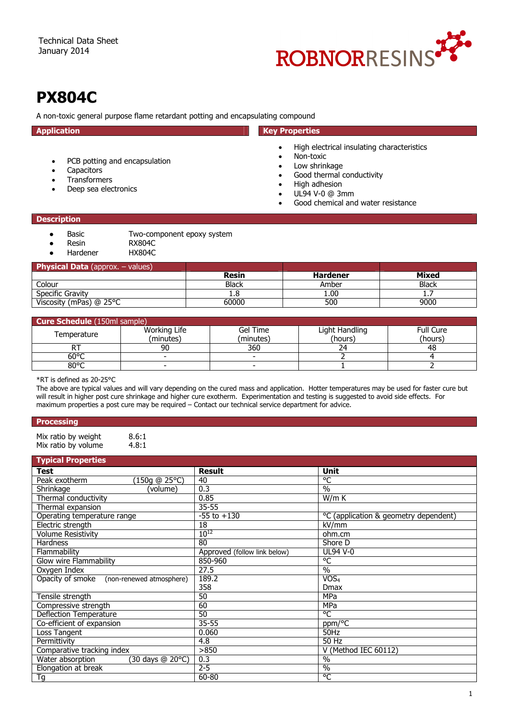

# **PX804C**

A non-toxic general purpose flame retardant potting and encapsulating compound

| <b>Application</b>                                                                                                             | <b>Key Properties</b>                                                                                                                                                                       |
|--------------------------------------------------------------------------------------------------------------------------------|---------------------------------------------------------------------------------------------------------------------------------------------------------------------------------------------|
| PCB potting and encapsulation<br>$\bullet$<br>Capacitors<br>٠<br><b>Transformers</b><br>$\bullet$<br>Deep sea electronics<br>٠ | High electrical insulating characteristics<br>Non-toxic<br>Low shrinkage<br>Good thermal conductivity<br>High adhesion<br>UL94 V-0 @ 3mm<br>$\bullet$<br>Good chemical and water resistance |
| <b>Description</b>                                                                                                             |                                                                                                                                                                                             |
| Basic<br>Two-component epoxy system<br><b>RX804C</b><br>Resin                                                                  |                                                                                                                                                                                             |

Hardener HX804C

## **Physical Data** (approx. – values)

| <b>Filyəllal Data</b> (appl UA, $=$<br>values, |       |                 |              |
|------------------------------------------------|-------|-----------------|--------------|
|                                                | Resin | <b>Hardener</b> | Mixed        |
| Colour                                         | Black | Amber           | <b>Black</b> |
| Specific Gravity                               | ı.o   | 1.00            | <u>да, </u>  |
| Viscosity (mPas) $@$ 25 $°C$                   | 60000 | 500             | 9000         |
|                                                |       |                 |              |

# **Cure Schedule** (150ml sample)

| <b>Cure Schedule</b> (ISUIIII Saliipie) |                           |                       |                           |                             |
|-----------------------------------------|---------------------------|-----------------------|---------------------------|-----------------------------|
| Temperature                             | Working Life<br>(minutes) | Gel Time<br>(minutes) | Light Handling<br>(hours) | <b>Full Cure</b><br>(hours) |
|                                         | 90                        | 360                   |                           | 48                          |
| $60^{\circ}$ C                          |                           |                       |                           |                             |
| $80^{\circ}$ C                          |                           |                       |                           |                             |
|                                         |                           |                       |                           |                             |

\*RT is defined as 20-25°C

The above are typical values and will vary depending on the cured mass and application. Hotter temperatures may be used for faster cure but will result in higher post cure shrinkage and higher cure exotherm. Experimentation and testing is suggested to avoid side effects. For maximum properties a post cure may be required – Contact our technical service department for advice.

## **Processing**

Mix ratio by weight 8.6:1<br>Mix ratio by volume 4.8:1 Mix ratio by volume

|  | <b>Typical Properties</b> |
|--|---------------------------|
|  |                           |
|  |                           |

| <b>Test</b>                               | <b>Result</b>                | Unit                                  |
|-------------------------------------------|------------------------------|---------------------------------------|
| (150q @ 25°C)<br>Peak exotherm            | 40                           | °C                                    |
| Shrinkage<br>volume)                      | 0.3                          | $\frac{0}{0}$                         |
| Thermal conductivity                      | 0.85                         | W/m K                                 |
| Thermal expansion                         | $35 - 55$                    |                                       |
| Operating temperature range               | $-55$ to $+130$              | °C (application & geometry dependent) |
| Electric strength                         | 18                           | kV/mm                                 |
| <b>Volume Resistivity</b>                 | $10^{12}$                    | ohm.cm                                |
| <b>Hardness</b>                           | 80                           | Shore D                               |
| Flammability                              | Approved (follow link below) | <b>UL94 V-0</b>                       |
| Glow wire Flammability                    | 850-960                      | °C                                    |
| Oxygen Index                              | 27.5                         | $\frac{0}{0}$                         |
| Opacity of smoke (non-renewed atmosphere) | 189.2                        | VOS <sub>4</sub>                      |
|                                           | 358                          | <b>Dmax</b>                           |
| Tensile strength                          | 50                           | <b>MPa</b>                            |
| Compressive strength                      | 60                           | <b>MPa</b>                            |
| <b>Deflection Temperature</b>             | 50                           | °C                                    |
| Co-efficient of expansion                 | $35 - 55$                    | ppm/ <sup>o</sup> C                   |
| Loss Tangent                              | 0.060                        | 50Hz                                  |
| Permittivity                              | 4.8                          | 50 Hz                                 |
| Comparative tracking index                | >850                         | V (Method IEC 60112)                  |
| Water absorption<br>(30 days @ 20°C)      | 0.3                          | $\frac{0}{0}$                         |
| Elongation at break                       | $2 - 5$                      | $\%$                                  |
| Tg                                        | 60-80                        | °C                                    |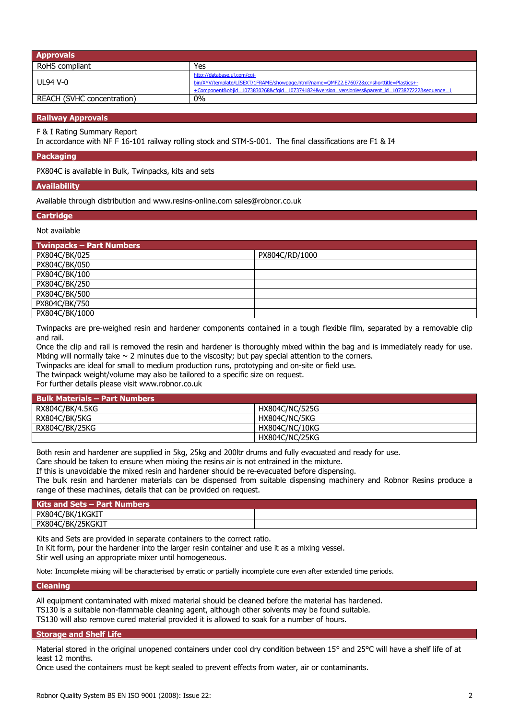| <b>Approvals</b>           |                                                                                                                                                                                                                            |
|----------------------------|----------------------------------------------------------------------------------------------------------------------------------------------------------------------------------------------------------------------------|
| RoHS compliant             | Yes                                                                                                                                                                                                                        |
| UL94 V-0                   | http://database.ul.com/cqi-<br>bin/XYV/template/LISEXT/1FRAME/showpage.html?name=QMFZ2.E76072&ccnshorttitle=Plastics+-<br>+Component&objid=1073830268&cfqid=1073741824&version=versionless&parent_id=1073827222&sequence=1 |
| REACH (SVHC concentration) | 0%                                                                                                                                                                                                                         |

#### **Railway Approvals**

F & I Rating Summary Report

In accordance with NF F 16-101 railway rolling stock and STM-S-001. The final classifications are F1 & I4

#### **Packaging**

PX804C is available in Bulk, Twinpacks, kits and sets

#### **Availability**

Available through distribution and www.resins-online.com sales@robnor.co.uk

#### **Cartridge**

## Not available

| <b>Twinpacks - Part Numbers</b> |                |
|---------------------------------|----------------|
| PX804C/BK/025                   | PX804C/RD/1000 |
| PX804C/BK/050                   |                |
| PX804C/BK/100                   |                |
| PX804C/BK/250                   |                |
| PX804C/BK/500                   |                |
| PX804C/BK/750                   |                |
| PX804C/BK/1000                  |                |

Twinpacks are pre-weighed resin and hardener components contained in a tough flexible film, separated by a removable clip and rail.

Once the clip and rail is removed the resin and hardener is thoroughly mixed within the bag and is immediately ready for use. Mixing will normally take  $\sim$  2 minutes due to the viscosity; but pay special attention to the corners.

Twinpacks are ideal for small to medium production runs, prototyping and on-site or field use.

The twinpack weight/volume may also be tailored to a specific size on request.

For further details please visit www.robnor.co.uk

| <b>Bulk Materials - Part Numbers</b> |                |
|--------------------------------------|----------------|
| RX804C/BK/4.5KG                      | HX804C/NC/525G |
| RX804C/BK/5KG                        | HX804C/NC/5KG  |
| RX804C/BK/25KG                       | HX804C/NC/10KG |
|                                      | HX804C/NC/25KG |

Both resin and hardener are supplied in 5kg, 25kg and 200ltr drums and fully evacuated and ready for use.

Care should be taken to ensure when mixing the resins air is not entrained in the mixture.

If this is unavoidable the mixed resin and hardener should be re-evacuated before dispensing.

The bulk resin and hardener materials can be dispensed from suitable dispensing machinery and Robnor Resins produce a range of these machines, details that can be provided on request.

| Kits and Sets – Part Numbers |  |
|------------------------------|--|
| PX804C/BK/1KGKIT             |  |
| PX804C/BK/25KGKIT            |  |
|                              |  |

Kits and Sets are provided in separate containers to the correct ratio. In Kit form, pour the hardener into the larger resin container and use it as a mixing vessel.

Stir well using an appropriate mixer until homogeneous.

Note: Incomplete mixing will be characterised by erratic or partially incomplete cure even after extended time periods.

#### **Cleaning**

All equipment contaminated with mixed material should be cleaned before the material has hardened. TS130 is a suitable non-flammable cleaning agent, although other solvents may be found suitable. TS130 will also remove cured material provided it is allowed to soak for a number of hours.

# **Storage and Shelf Life**

Material stored in the original unopened containers under cool dry condition between 15° and 25°C will have a shelf life of at least 12 months.

Once used the containers must be kept sealed to prevent effects from water, air or contaminants.